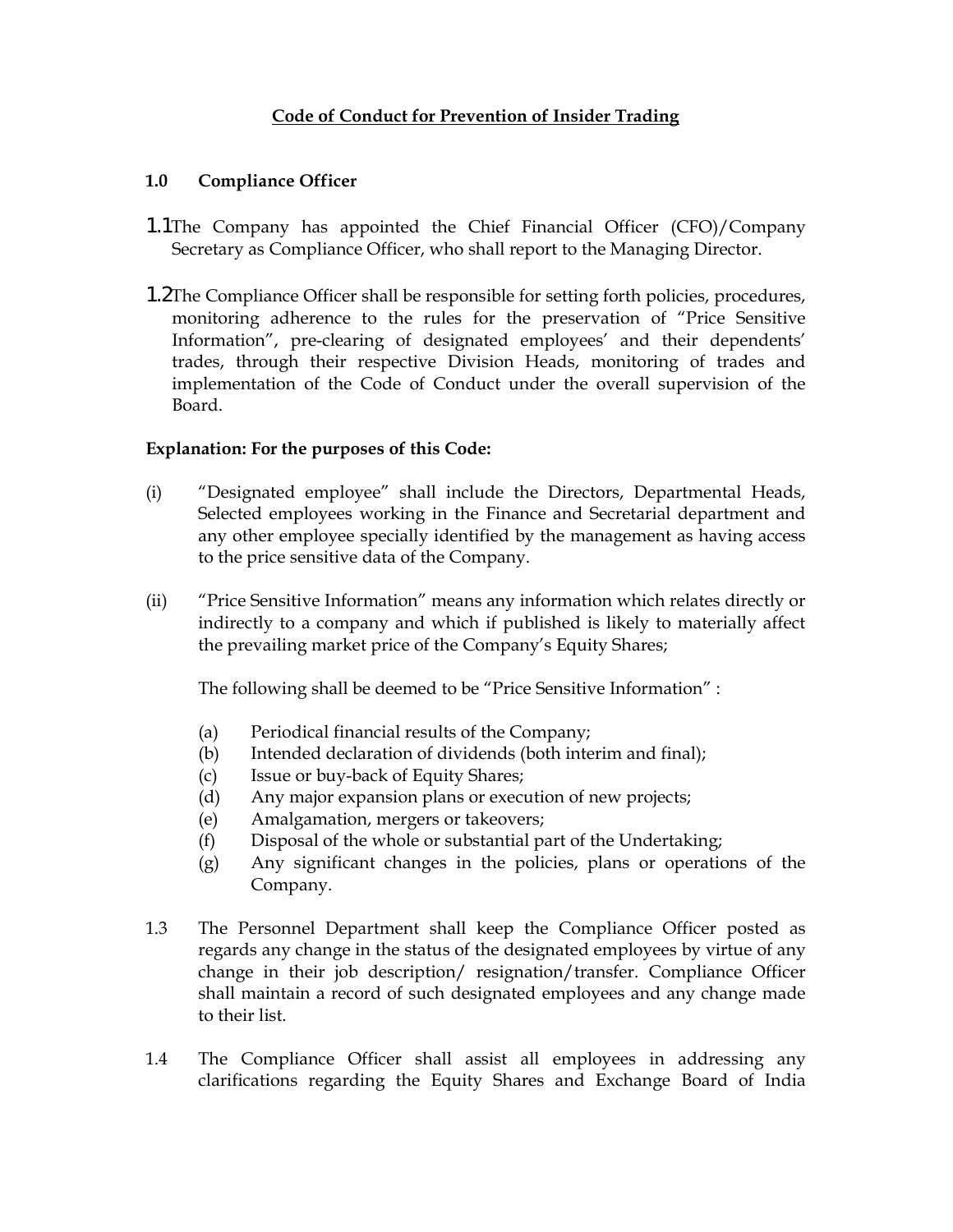## Code of Conduct for Prevention of Insider Trading

### 1.0 Compliance Officer

- 1.1The Company has appointed the Chief Financial Officer (CFO)/Company Secretary as Compliance Officer, who shall report to the Managing Director.
- 1.2The Compliance Officer shall be responsible for setting forth policies, procedures, monitoring adherence to the rules for the preservation of "Price Sensitive Information", pre-clearing of designated employees' and their dependents' trades, through their respective Division Heads, monitoring of trades and implementation of the Code of Conduct under the overall supervision of the Board.

#### Explanation: For the purposes of this Code:

- (i) "Designated employee" shall include the Directors, Departmental Heads, Selected employees working in the Finance and Secretarial department and any other employee specially identified by the management as having access to the price sensitive data of the Company.
- (ii) "Price Sensitive Information" means any information which relates directly or indirectly to a company and which if published is likely to materially affect the prevailing market price of the Company's Equity Shares;

The following shall be deemed to be "Price Sensitive Information" :

- (a) Periodical financial results of the Company;
- (b) Intended declaration of dividends (both interim and final);
- (c) Issue or buy-back of Equity Shares;
- (d) Any major expansion plans or execution of new projects;
- (e) Amalgamation, mergers or takeovers;
- (f) Disposal of the whole or substantial part of the Undertaking;
- (g) Any significant changes in the policies, plans or operations of the Company.
- 1.3 The Personnel Department shall keep the Compliance Officer posted as regards any change in the status of the designated employees by virtue of any change in their job description/ resignation/transfer. Compliance Officer shall maintain a record of such designated employees and any change made to their list.
- 1.4 The Compliance Officer shall assist all employees in addressing any clarifications regarding the Equity Shares and Exchange Board of India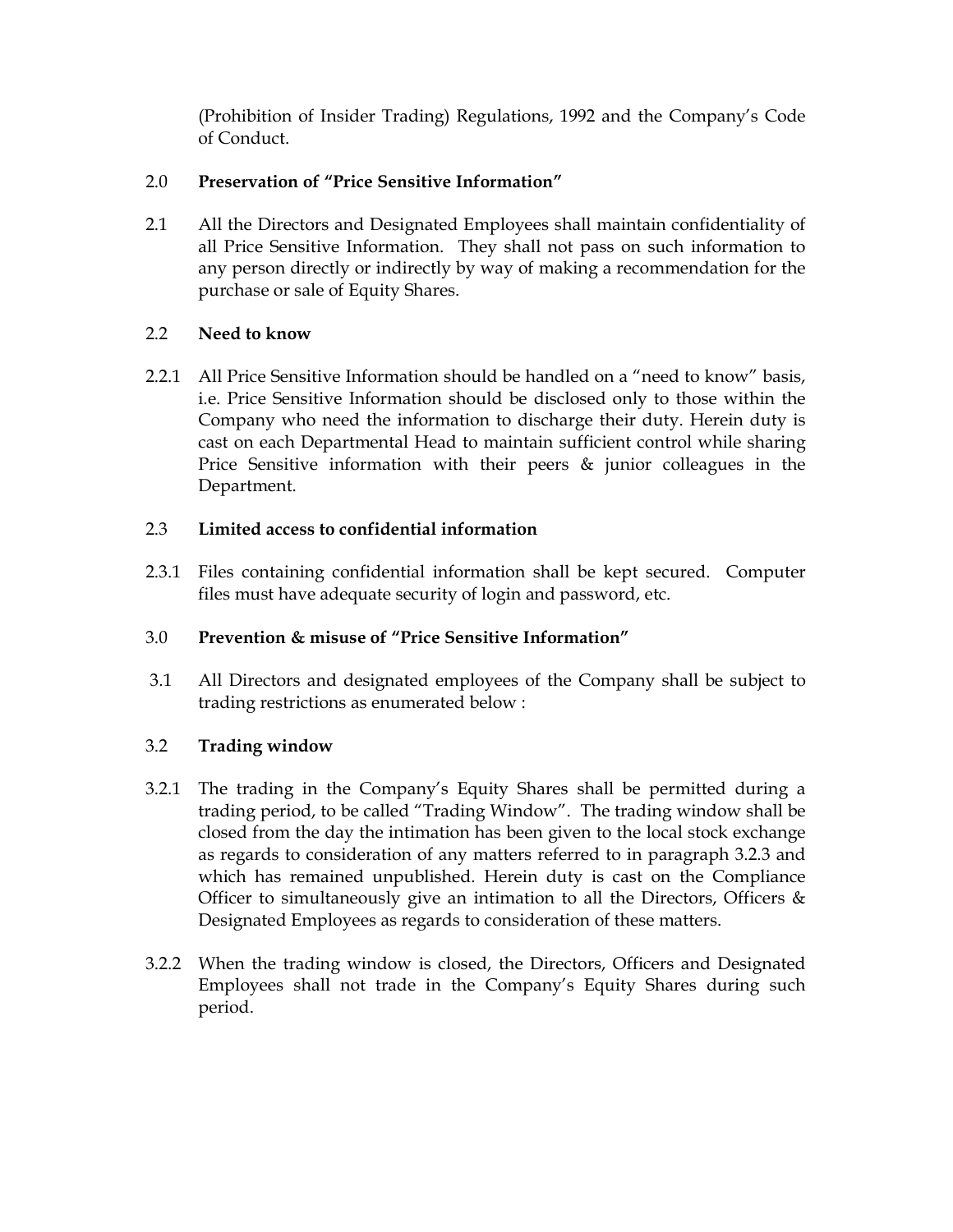(Prohibition of Insider Trading) Regulations, 1992 and the Company's Code of Conduct.

## 2.0 Preservation of "Price Sensitive Information"

2.1 All the Directors and Designated Employees shall maintain confidentiality of all Price Sensitive Information. They shall not pass on such information to any person directly or indirectly by way of making a recommendation for the purchase or sale of Equity Shares.

# 2.2 Need to know

2.2.1 All Price Sensitive Information should be handled on a "need to know" basis, i.e. Price Sensitive Information should be disclosed only to those within the Company who need the information to discharge their duty. Herein duty is cast on each Departmental Head to maintain sufficient control while sharing Price Sensitive information with their peers & junior colleagues in the Department.

## 2.3 Limited access to confidential information

2.3.1 Files containing confidential information shall be kept secured. Computer files must have adequate security of login and password, etc.

# 3.0 Prevention & misuse of "Price Sensitive Information"

 3.1 All Directors and designated employees of the Company shall be subject to trading restrictions as enumerated below :

# 3.2 Trading window

- 3.2.1 The trading in the Company's Equity Shares shall be permitted during a trading period, to be called "Trading Window". The trading window shall be closed from the day the intimation has been given to the local stock exchange as regards to consideration of any matters referred to in paragraph 3.2.3 and which has remained unpublished. Herein duty is cast on the Compliance Officer to simultaneously give an intimation to all the Directors, Officers & Designated Employees as regards to consideration of these matters.
- 3.2.2 When the trading window is closed, the Directors, Officers and Designated Employees shall not trade in the Company's Equity Shares during such period.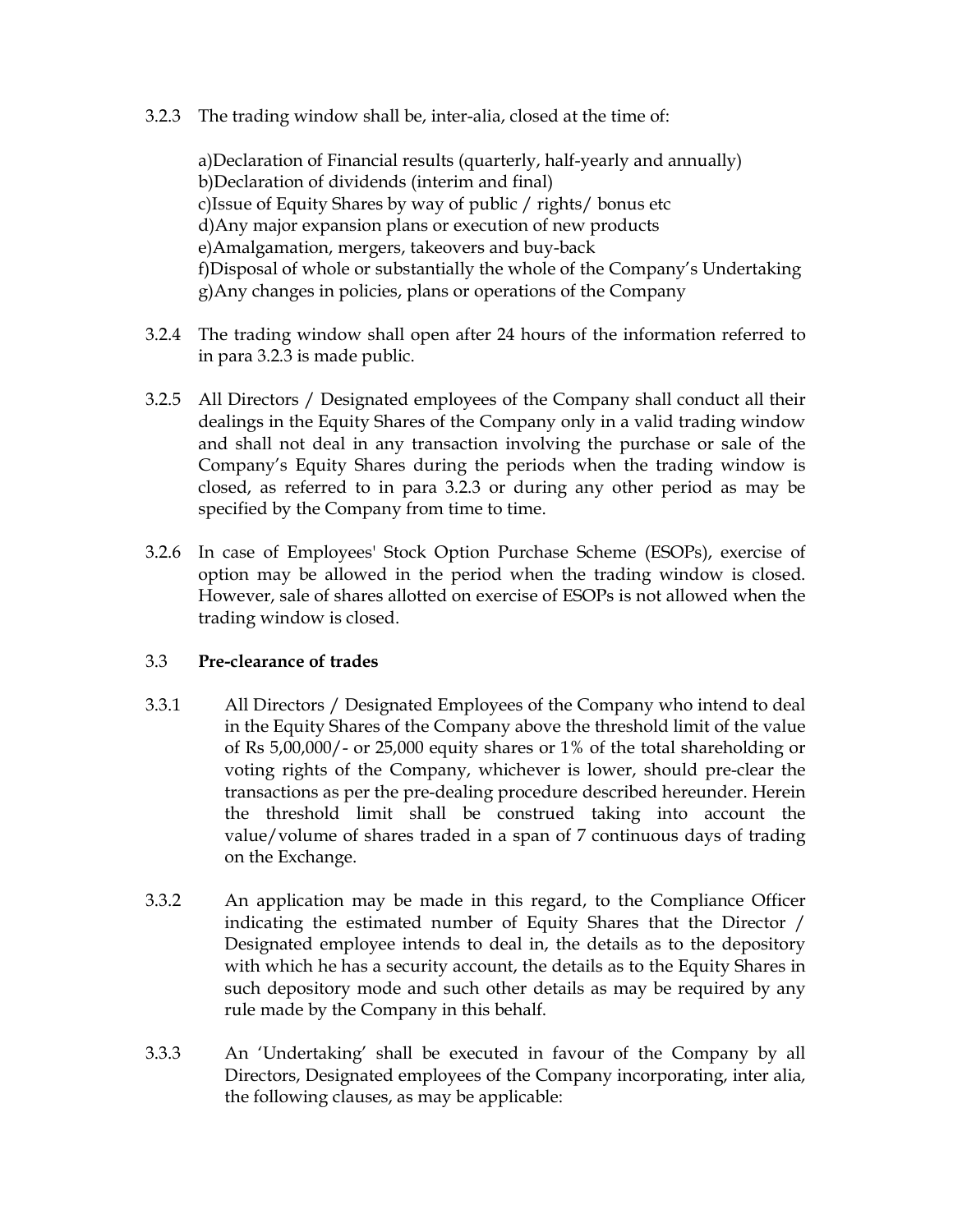3.2.3 The trading window shall be, inter-alia, closed at the time of:

a)Declaration of Financial results (quarterly, half-yearly and annually) b)Declaration of dividends (interim and final) c)Issue of Equity Shares by way of public / rights/ bonus etc d)Any major expansion plans or execution of new products e)Amalgamation, mergers, takeovers and buy-back f)Disposal of whole or substantially the whole of the Company's Undertaking g)Any changes in policies, plans or operations of the Company

- 3.2.4 The trading window shall open after 24 hours of the information referred to in para 3.2.3 is made public.
- 3.2.5 All Directors / Designated employees of the Company shall conduct all their dealings in the Equity Shares of the Company only in a valid trading window and shall not deal in any transaction involving the purchase or sale of the Company's Equity Shares during the periods when the trading window is closed, as referred to in para 3.2.3 or during any other period as may be specified by the Company from time to time.
- 3.2.6 In case of Employees' Stock Option Purchase Scheme (ESOPs), exercise of option may be allowed in the period when the trading window is closed. However, sale of shares allotted on exercise of ESOPs is not allowed when the trading window is closed.

### 3.3 Pre-clearance of trades

- 3.3.1 All Directors / Designated Employees of the Company who intend to deal in the Equity Shares of the Company above the threshold limit of the value of Rs 5,00,000/- or 25,000 equity shares or 1% of the total shareholding or voting rights of the Company, whichever is lower, should pre-clear the transactions as per the pre-dealing procedure described hereunder. Herein the threshold limit shall be construed taking into account the value/volume of shares traded in a span of 7 continuous days of trading on the Exchange.
- 3.3.2 An application may be made in this regard, to the Compliance Officer indicating the estimated number of Equity Shares that the Director / Designated employee intends to deal in, the details as to the depository with which he has a security account, the details as to the Equity Shares in such depository mode and such other details as may be required by any rule made by the Company in this behalf.
- 3.3.3 An 'Undertaking' shall be executed in favour of the Company by all Directors, Designated employees of the Company incorporating, inter alia, the following clauses, as may be applicable: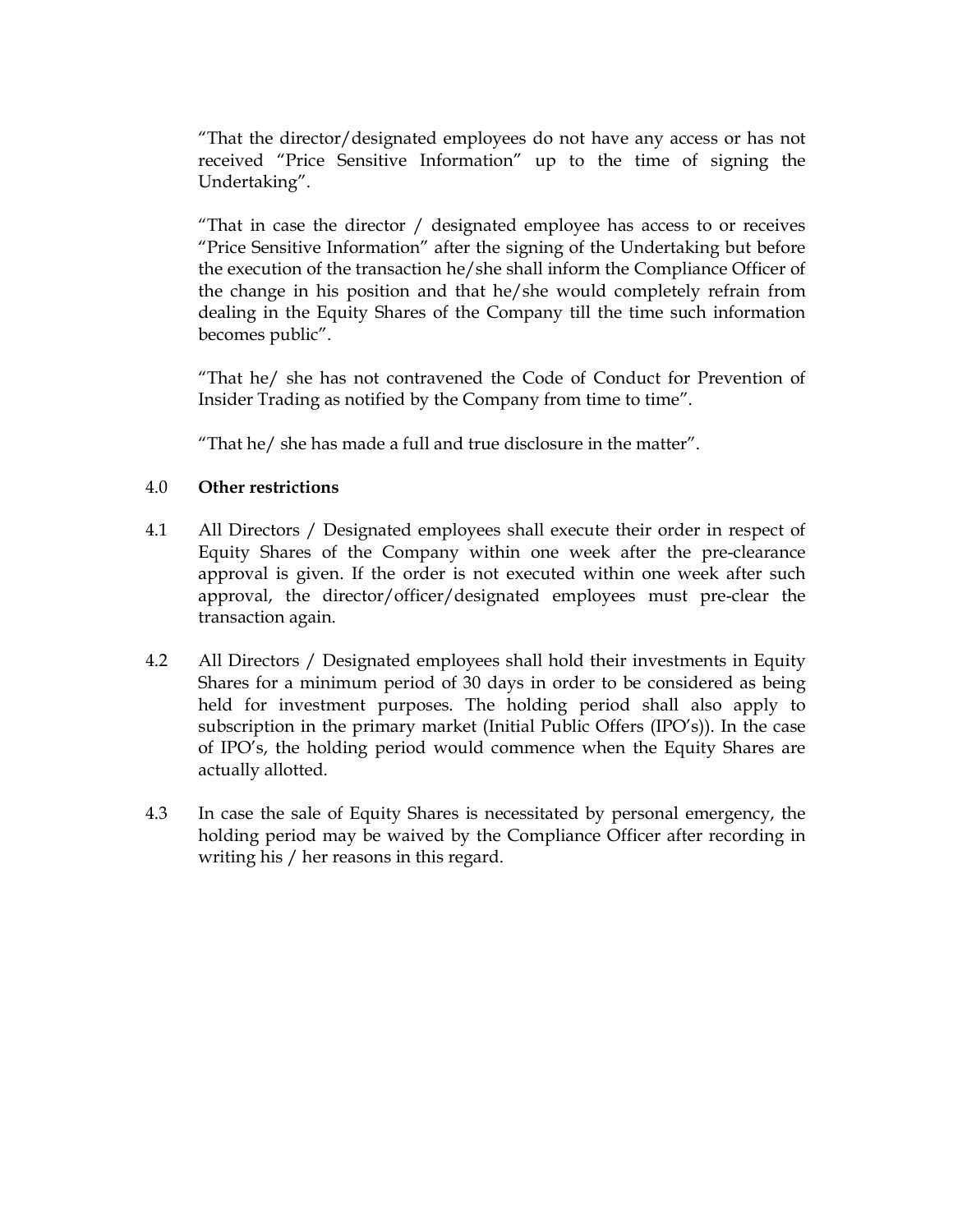"That the director/designated employees do not have any access or has not received "Price Sensitive Information" up to the time of signing the Undertaking".

"That in case the director / designated employee has access to or receives "Price Sensitive Information" after the signing of the Undertaking but before the execution of the transaction he/she shall inform the Compliance Officer of the change in his position and that he/she would completely refrain from dealing in the Equity Shares of the Company till the time such information becomes public".

"That he/ she has not contravened the Code of Conduct for Prevention of Insider Trading as notified by the Company from time to time".

"That he/ she has made a full and true disclosure in the matter".

### 4.0 Other restrictions

- 4.1 All Directors / Designated employees shall execute their order in respect of Equity Shares of the Company within one week after the pre-clearance approval is given. If the order is not executed within one week after such approval, the director/officer/designated employees must pre-clear the transaction again.
- 4.2 All Directors / Designated employees shall hold their investments in Equity Shares for a minimum period of 30 days in order to be considered as being held for investment purposes. The holding period shall also apply to subscription in the primary market (Initial Public Offers (IPO's)). In the case of IPO's, the holding period would commence when the Equity Shares are actually allotted.
- 4.3 In case the sale of Equity Shares is necessitated by personal emergency, the holding period may be waived by the Compliance Officer after recording in writing his / her reasons in this regard.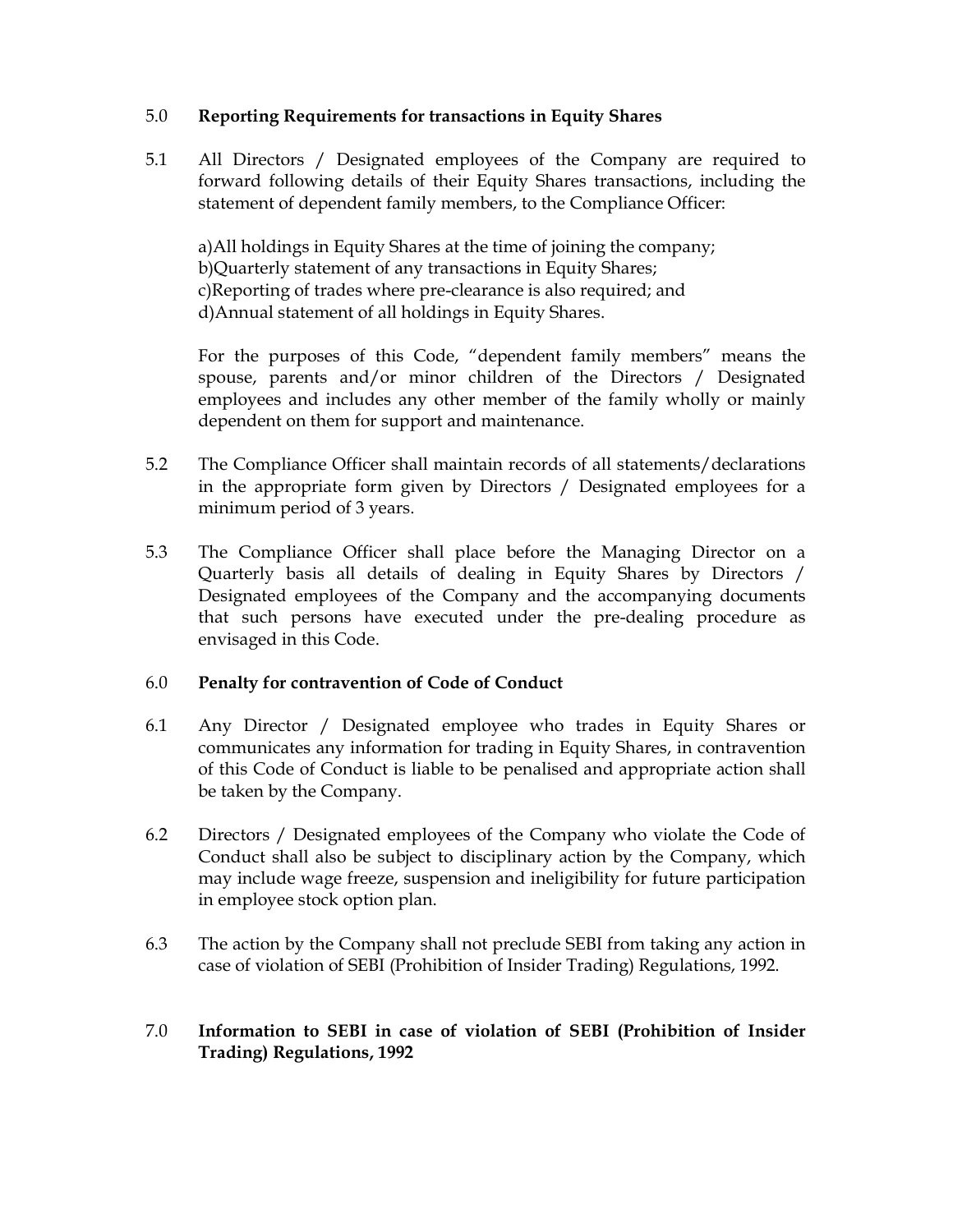### 5.0 Reporting Requirements for transactions in Equity Shares

5.1 All Directors / Designated employees of the Company are required to forward following details of their Equity Shares transactions, including the statement of dependent family members, to the Compliance Officer:

a)All holdings in Equity Shares at the time of joining the company; b)Quarterly statement of any transactions in Equity Shares; c)Reporting of trades where pre-clearance is also required; and d)Annual statement of all holdings in Equity Shares.

For the purposes of this Code, "dependent family members" means the spouse, parents and/or minor children of the Directors / Designated employees and includes any other member of the family wholly or mainly dependent on them for support and maintenance.

- 5.2 The Compliance Officer shall maintain records of all statements/declarations in the appropriate form given by Directors / Designated employees for a minimum period of 3 years.
- 5.3 The Compliance Officer shall place before the Managing Director on a Quarterly basis all details of dealing in Equity Shares by Directors / Designated employees of the Company and the accompanying documents that such persons have executed under the pre-dealing procedure as envisaged in this Code.

#### 6.0 Penalty for contravention of Code of Conduct

- 6.1 Any Director / Designated employee who trades in Equity Shares or communicates any information for trading in Equity Shares, in contravention of this Code of Conduct is liable to be penalised and appropriate action shall be taken by the Company.
- 6.2 Directors / Designated employees of the Company who violate the Code of Conduct shall also be subject to disciplinary action by the Company, which may include wage freeze, suspension and ineligibility for future participation in employee stock option plan.
- 6.3 The action by the Company shall not preclude SEBI from taking any action in case of violation of SEBI (Prohibition of Insider Trading) Regulations, 1992.
- 7.0 Information to SEBI in case of violation of SEBI (Prohibition of Insider Trading) Regulations, 1992